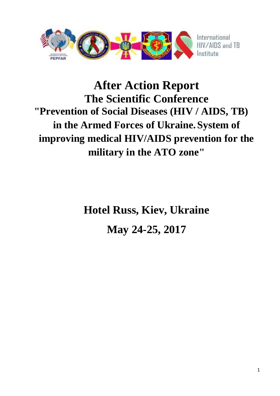

# **After Action Report The Scientific Conference "Prevention of Social Diseases (HIV / AIDS, TB) in the Armed Forces of Ukraine.System of improving medical HIV/AIDS prevention for the military in the ATO zone"**

**Hotel Russ, Kiev, Ukraine May 24-25, 2017**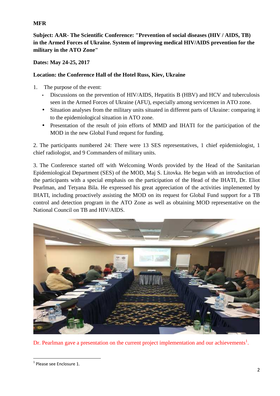# **MFR**

**Subject: AAR- The Scientific Conference: "Prevention of social diseases (HIV / AIDS, TB) in the Armed Forces of Ukraine. System of improving medical HIV/AIDS prevention for the military in the ATO Zone"**

## **Dates: May 24-25, 2017**

# **Location: the Conference Hall of the Hotel Russ, Kiev, Ukraine**

- 1. The purpose of the event:
	- Discussions on the prevention of HIV/AIDS, Hepatitis B (HBV) and HCV and tuberculosis seen in the Armed Forces of Ukraine (AFU), especially among servicemen in ATO zone.
	- Situation analyses from the military units situated in different parts of Ukraine: comparing it to the epidemiological situation in ATO zone.
	- Presentation of the result of join efforts of MMD and IHATI for the participation of the MOD in the new Global Fund request for funding.

2. The participants numbered 24: There were 13 SES representatives, 1 chief epidemiologist, 1 chief radiologist, and 9 Commanders of military units.

3. The Conference started off with Welcoming Words provided by the Head of the Sanitarian Epidemiological Department (SES) of the MOD, Maj S. Litovka. He began with an introduction of the participants with a special emphasis on the participation of the Head of the IHATI, Dr. Eliot Pearlman, and Tetyana Bila. He expressed his great appreciation of the activities implemented by IHATI, including proactively assisting the MOD on its request for Global Fund support for a TB control and detection program in the ATO Zone as well as obtaining MOD representative on the National Council on TB and HIV/AIDS.



Dr. Pearlman gave a presentation on the current project implementation and our achievements<sup>1</sup>.

<sup>1</sup> Please see Enclosure 1.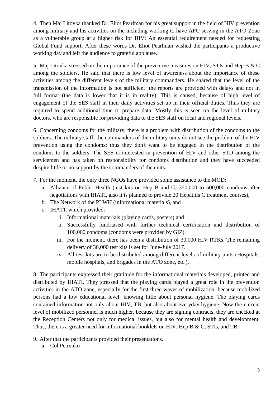4. Then Maj Litovka thanked Dr. Eliot Pearlman for his great support in the field of HIV prevention among military and his activities on the including working to have AFU serving in the ATO Zone as a vulnerable group at a higher risk for HIV: An essential requirement needed for requesting Global Fund support. After these words Dr. Eliot Pearlman wished the participants a productive working day and left the audience to grateful applause.

5. Maj Litovka stressed on the importance of the preventive measures on HIV, STIs and Hep B & C among the soldiers. He said that there is low level of awareness about the importance of these activities among the different levels of the military commanders. He shared that the level of the transmission of the information is not sufficient: the reports are provided with delays and not in full format (the data is lower that it is in reality). This is caused, because of high level of engagement of the SES staff in their daily activities set up in their official duties. Thus they are required to spend additional time to prepare data. Mostly this is seen on the level of military doctors, who are responsible for providing data to the SES staff on local and regional levels.

6. Concerning condoms for the military, there is a problem with distribution of the condoms to the soldiers. The military staff: the commanders of the military units do not see the problem of the HIV prevention using the condoms; thus they don't want to be engaged in the distribution of the condoms to the soldiers. The SES is interested in prevention of HIV and other STD among the servicemen and has taken on responsibility for condoms distribution and they have succeeded despite little or no support by the commanders of the units.

- 7. For the moment, the only three NGOs have provided some assistance to the MOD:
	- a. Alliance of Public Health (test kits on Hep B and C, 350,000 to 500,000 condoms after negotiations with IHATI, also it is planned to provide 20 Hepatitis C treatment courses),
	- b. The Network of the PLWH (informational materials), and
	- c. IHATI, which provided:
		- i. Informational materials (playing cards, posters) and
		- ii. Successfully fundraised with further technical certification and distribution of 100,000 condoms (condoms were provided by GIZ).
		- iii. For the moment, there has been a distribution of 30,000 HIV RTKs. The remaining delivery of 30,000 test kits is set for June-July 2017.
		- iv. All test kits are to be distributed among different levels of military units (Hospitals, mobile hospitals, and brigades in the ATO zone, etc.).

8. The participants expressed their gratitude for the informational materials developed, printed and distributed by IHATI. They stressed that the playing cards played a great role in the prevention activities in the ATO zone, especially for the first three waves of mobilization, because mobilized persons had a low educational level: knowing little about personal hygiene. The playing cards contained information not only about HIV, TB, but also about everyday hygiene. Now the current level of mobilized personnel is much higher, because they are signing contracts, they are checked at the Reception Centers not only for medical issues, but also for mental health and development. Thus, there is a greater need for informational booklets on HIV, Hep B & C, STIs, and TB.

- 9. After that the participants provided their presentations.
	- a. Col Petrenko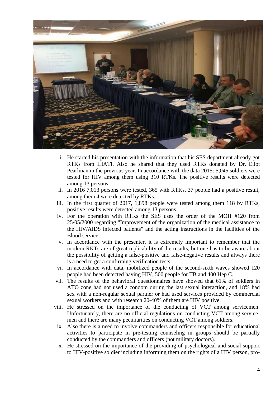

- i. He started his presentation with the information that his SES department already got RTKs from IHATI. Also he shared that they used RTKs donated by Dr. Eliot Pearlman in the previous year. In accordance with the data 2015: 5,045 soldiers were tested for HIV among them using 310 RTKs. The positive results were detected among 13 persons.
- ii. In 2016 7,013 persons were tested, 365 with RTKs, 37 people had a positive result, among them 4 were detected by RTKs.
- iii. In the first quarter of 2017, 1,898 people were tested among them 118 by RTKs, positive results were detected among 13 persons.
- iv. For the operation with RTKs the SES uses the order of the MOH #120 from 25/05/2000 regarding "Improvement of the organization of the medical assistance to the HIV/AIDS infected patients" and the acting instructions in the facilities of the Blood service.
- v. In accordance with the presenter, it is extremely important to remember that the modern RKTs are of great replicability of the results, but one has to be aware about the possibility of getting a false-positive and false-negative results and always there is a need to get a confirming verification tests.
- vi. In accordance with data, mobilized people of the second-sixth waves showed 120 people had been detected having HIV, 500 people for TB and 400 Hep C.
- vii. The results of the behavioral questionnaires have showed that 61% of soldiers in ATO zone had not used a condom during the last sexual interaction, and 18% had sex with a non-regular sexual partner or had used services provided by commercial sexual workers and with research 20-40% of them are HIV positive.
- viii. He stressed on the importance of the conducting of VCT among servicemen. Unfortunately, there are no official regulations on conducting VCT among service men and there are many peculiarities on conducting VCT among soldiers.
- ix. Also there is a need to involve commanders and officers responsible for educational activities to participate in pre-testing counseling in groups should be partially conducted by the commanders and officers (not military doctors).
- x. He stressed on the importance of the providing of psychological and social support to HIV-positive soldier including informing them on the rights of a HIV person, pro-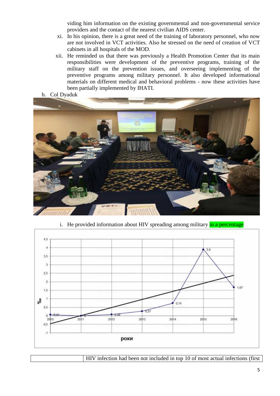viding him information on the existing governmental and non-governmental service providers and the contact of the nearest civilian AIDS center.

- xi. In his opinion, there is a great need of the training of laboratory personnel, who now are not involved in VCT activities. Also he stressed on the need of creation of VCT cabinets in all hospitals of the MOD.
- xii. He reminded us that there was previously a Health Promotion Center that its main responsibilities were development of the preventive programs, training of the military staff on the prevention issues, and overseeing implementing of the preventive programs among military personnel. It also developed informational materials on different medical and behavioral problems - now these activities have been partially implemented by IHATI.
- b. Col Dyaduk





i. He provided information about HIV spreading among military in a percentage

HIV infection had been not included in top 10 of most actual infections (first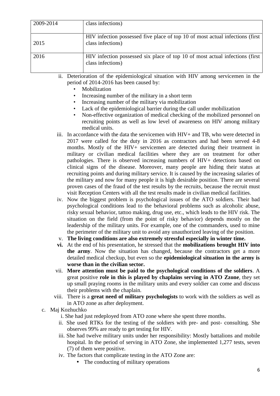| 2009-2014 | class infections)                                                                                   |
|-----------|-----------------------------------------------------------------------------------------------------|
| 2015      | HIV infection possessed five place of top 10 of most actual infections (first)<br>class infections) |
| 2016      | HIV infection possessed six place of top 10 of most actual infections (first)<br>class infections)  |

ii. Deterioration of the epidemiological situation with HIV among servicemen in the period of 2014-2016 has been caused by:

- **Mobilization**
- Increasing number of the military in a short term
- Increasing number of the military via mobilization
- Lack of the epidemiological barrier during the call under mobilization
- Non-effective organization of medical checking of the mobilized personnel on recruiting points as well as low level of awareness on HIV among military medical units.
- iii. In accordance with the data the servicemen with HIV+ and TB, who were detected in 2017 were called for the duty in 2016 as contractors and had been served 4-8 months. Mostly of the HIV+ servicemen are detected during their treatment in military or civilian medical facilities where they are on treatment for other pathologies. There is observed increasing numbers of HIV+ detections based on clinical signs of the disease. Moreover, many people are hiding their status at recruiting points and during military service. It is caused by the increasing salaries of the military and now for many people it is high desirable position. There are several proven cases of the fraud of the test results by the recruits, because the recruit must visit Reception Centers with all the test results made in civilian medical facilities.
- iv. Now the biggest problem is psychological issues of the ATO soldiers. Their bad psychological conditions lead to the behavioral problems such as alcoholic abuse, risky sexual behavior, tattoo making, drug use, etc., which leads to the HIV risk. The situation on the field (from the point of risky behavior) depends mostly on the leadership of the military units. For example, one of the commanders, used to mine the perimeter of the military unit to avoid any unauthorized leaving of the position.
- v. **The living conditions are also extremely stressful especially in winter time.**
- **vi.** At the end of his presentation, he stressed that the **mobilizations brought HIV into the army**. Now the situation has changed, because the contractors get a more detailed medical checkup, but even so the **epidemiological situation in the army is worse than in the civilian sector.**
- vii. **More attention must be paid to the psychological conditions of the soldiers**. A great positive **role in this is played by chaplains serving in ATO Zzone**, they set up small praying rooms in the military units and every soldier can come and discuss their problems with the chaplain.
- viii. There is a **great need of military psychologists** to work with the soldiers as well as in ATO zone as after deployment.
- c. Maj Kozhuchko
	- i. She had just redeployed from ATO zone where she spent three months.
	- ii. She used RTKs for the testing of the soldiers with pre- and post- consulting. She observes 99% are ready to get testing for HIV.
	- iii. She had twelve military units under her responsibility: Mostly battalions and mobile hospital. In the period of serving in ATO Zone, she implemented 1,277 tests, seven (7) of them were positive.
	- iv. The factors that complicate testing in the ATO Zone are:
		- The conducting of military operations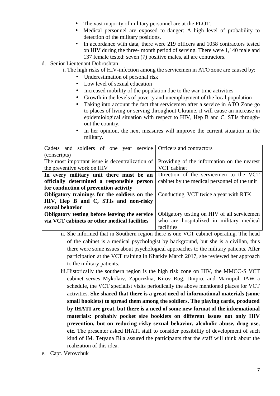- The vast majority of military personnel are at the FLOT.
- Medical personnel are exposed to danger: A high level of probability to detection of the military positions.
- In accordance with data, there were 219 officers and 1058 contractors tested on HIV during the three- month period of serving. There were 1,140 male and 137 female tested: seven (7) positive males, all are contractors.
- d. Senior Lieutenant Dobroshtan
	- i. The high risks of HIV-infection among the servicemen in ATO zone are caused by:
		- Underestimation of personal risk
		- Low level of sexual education
		- Increased mobility of the population due to the war-time activities
		- Growth in the levels of poverty and unemployment of the local population
		- Taking into account the fact that servicemen after a service in ATO Zone go to places of living or serving throughout Ukraine, it will cause an increase in epidemiological situation with respect to HIV, Hep B and C, STIs through out the country.
		- In her opinion, the next measures will improve the current situation in the military.

| Cadets and soldiers of one year service   Officers and contractors                          |                                              |
|---------------------------------------------------------------------------------------------|----------------------------------------------|
| (conscripts)                                                                                |                                              |
| The most important issue is decentralization of Providing of the information on the nearest |                                              |
| the preventive work on HIV                                                                  | VCT cabinet                                  |
| In every military unit there must be an Direction of the servicemen to the VCT              |                                              |
| officially determined a responsible person                                                  | cabinet by the medical personnel of the unit |
| for conduction of prevention activity                                                       |                                              |
| Obligatory trainings for the soldiers on the                                                | Conducting VCT twice a year with RTK         |
| HIV, Hep B and C, STIs and non-risky                                                        |                                              |
| sexual behavior                                                                             |                                              |
| Obligatory testing before leaving the service                                               | Obligatory testing on HIV of all servicemen  |
| via VCT cabinets or other medical facilities                                                | who are hospitalized in military medical     |
|                                                                                             | facilities                                   |

- ii. She informed that in Southern region there is one VCT cabinet operating. The head of the cabinet is a medical psychologist by background, but she is a civilian, thus there were some issues about psychological approaches to the military patients. After participation at the VCT training in Kharkiv March 2017, she reviewed her approach to the military patients.
- iii.Historically the southern region is the high risk zone on HIV, the MMCC-S VCT cabinet serves Mykolaiv, Zaporizhia, Kirov Rog, Dnipro, and Mariupol. IAW a schedule, the VCT specialist visits periodically the above mentioned places for VCT activities. **She shared that there is a great need of informational materials (some small booklets) to spread them among the soldiers. The playing cards, produced by IHATI are great, but there is a need of some new format of the informational materials: probably pocket size booklets on different issues not only HIV prevention, but on reducing risky sexual behavior, alcoholic abuse, drug use, etc**. The presenter asked IHATI staff to consider possibility of development of such kind of IM. Tetyana Bila assured the participants that the staff will think about the realization of this idea.
- e. Capt. Verovchuk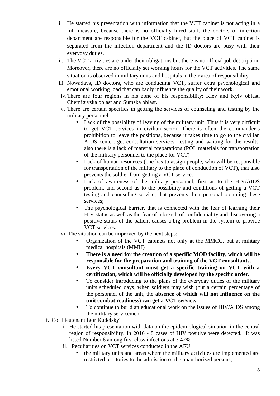- i. He started his presentation with information that the VCT cabinet is not acting in a full measure, because there is no officially hired staff, the doctors of infection department are responsible for the VCT cabinet, but the place of VCT cabinet is separated from the infection department and the ID doctors are busy with their everyday duties.
- ii. The VCT activities are under their obligations but there is no official job description. Moreover, there are no officially set working hours for the VCT activities. The same situation is observed in military units and hospitals in their area of responsibility.
- iii. Nowadays, ID doctors, who are conducting VCT, suffer extra psychological and emotional working load that can badly influence the quality of their work.
- iv.There are four regions in his zone of his responsibility: Kiev and Kyiv oblast, Chernigivska oblast and Sumska oblast.
- v. There are certain specifics in getting the services of counseling and testing by the military personnel:
	- Lack of the possibility of leaving of the military unit. Thus it is very difficult to get VCT services in civilian sector. There is often the commander's prohibition to leave the positions, because it takes time to go to the civilian AIDS center, get consultation services, testing and waiting for the results. also there is a lack of material preparations (POL materials for transportation of the military personnel to the place for VCT)
	- Lack of human resources (one has to assign people, who will be responsible for transportation of the military to the place of conduction of VCT), that also prevents the soldier from getting a VCT service.
	- Lack of awareness of the military personnel, first as to the HIV/AIDS problem, and second as to the possibility and conditions of getting a VCT testing and counseling service, that prevents their personal obtaining these services;
	- The psychological barrier, that is connected with the fear of learning their HIV status as well as the fear of a breach of confidentiality and discovering a positive status of the patient causes a big problem in the system to provide VCT services.
- vi. The situation can be improved by the next steps:
	- Organization of the VCT cabinets not only at the MMCC, but at military medical hospitals (MMH)
	- **There is a need for the creation of a specific MOD facility,which will be responsible for the preparation and training of the VCT consultants.**
	- **Every VCT consultant must get a specific training on VCT with a certification, which will be officially developed by the specific order.**
	- To consider introducing to the plans of the everyday duties of the military units scheduled days, when soldiers may wish (but a certain percentage of the personnel of the unit, the **absence of which will not influence on the unit combat readiness) can get a VCT service.**
	- To continue to build an educational work on the issues of HIV/AIDS among the military servicemen.
- f. Col Lieutenant Igor Kudelskyi
	- i. He started his presentation with data on the epidemiological situation in the central region of responsibility. In 2016 - 8 cases of HIV positive were detected. It was listed Number 6 among first class infections at 3.42%.
	- ii. Peculiarities on VCT services conducted in the AFU:
		- the military units and areas where the military activities are implemented are restricted territories to the admission of the unauthorized persons;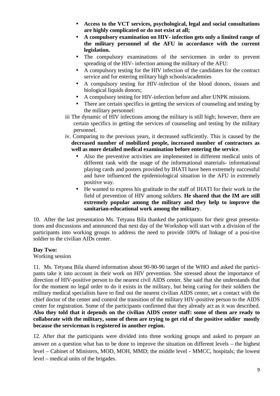- **Access to the VCT services, psychological, legal and social consultations are highly complicated or do not exist at all;**
- **A compulsory examination on HIV- infection gets only a limited range of the military personnel of the AFU in accordance with the current legislation.**
- The compulsory examinations of the servicemen in order to prevent spreading of the HIV- infection among the military of the AFU:
- A compulsory testing for the HIV infection of the candidates for the contract service and for entering military high schools/academies
- A compulsory testing for HIV-infection of the blood donors, tissues and biological liquids donors;
- A compulsory testing for HIV-infection before and after UNPK missions.
- There are certain specifics in getting the services of counseling and testing by the military personnel:
- iii The dynamic of HIV infections among the military is still high; however, there are certain specifics in getting the services of counseling and testing by the military personnel.
- iv. Comparing to the previous years, it decreased sufficiently. This is caused by the **decreased number of mobilized people, increased number of contractors as well as more detailed medical examination before entering the service**.
	- Also the preventive activities are implemented in different medical units of different rank with the usage of the informational materials- informational playing cards and posters provided by IHATI have been extremely successful and have influenced the epidemiological situation in the AFU in extremely positive way.
	- He wanted to express his gratitude to the staff of IHATI for their work in the field of prevention of HIV among soldiers. **He shared that the IM are still extremely popular among the military and they help to improve the sanitarian-educational work among the military**.

10. After the last presentation Ms. Tetyana Bila thanked the participants for their great presentations and discussions and announced that next day of the Workshop will start with a division of the participants into working groups to address the need to provide 100% of linkage of a posi-tive soldier to the civilian AIDs center.

## **Day Two:**

Working session

11. Ms. Tetyana Bila shared information about 90-90-90 target of the WHO and asked the partici pants take it into account in their work on HIV prevention. She stressed about the importance of direction of HIV-positive person to the nearest civil AIDS center. She said that she understands that for the moment no legal order to do it exists in the military, but being caring for their soldiers the military medical specialists have to find out the nearest civilian AIDS center, set a contact with the chief doctor of the center and control the transition of the military HIV-positive person to the AIDS center for registration. Some of the participants confirmed that they already act as it was described. **Also they told that it depends on the civilian AIDS center staff: some of them are ready to collaborate with the military, some of them are trying to get rid of the positive soldier mostly because the serviceman is registered in another region.**

12. After that the participants were divided into three working groups and asked to prepare an answer on a question what has to be done to improve the situation on different levels – the highest level – Cabinet of Ministers, MOD, MOH, MMD; the middle level - MMCC, hospitals; the lowest level – medical units of the brigades.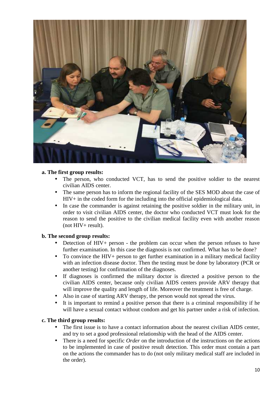

#### **a. The first group results:**

- The person, who conducted VCT, has to send the positive soldier to the nearest civilian AIDS center.
- The same person has to inform the regional facility of the SES MOD about the case of HIV+ in the coded form for the including into the official epidemiological data.
- In case the commander is against retaining the positive soldier in the military unit, in order to visit civilian AIDS center, the doctor who conducted VCT must look for the reason to send the positive to the civilian medical facility even with another reason (not HIV+ result).

## **b. The second group results:**

- Detection of HIV+ person the problem can occur when the person refuses to have further examination. In this case the diagnosis is not confirmed. What has to be done?
- To convince the HIV+ person to get further examination in a military medical facility with an infection disease doctor. Then the testing must be done by laboratory (PCR or another testing) for confirmation of the diagnoses.
- If diagnoses is confirmed the military doctor is directed a positive person to the civilian AIDS center, because only civilian AIDS centers provide ARV therapy that will improve the quality and length of life. Moreover the treatment is free of charge.
- Also in case of starting ARV therapy, the person would not spread the virus.
- It is important to remind a positive person that there is a criminal responsibility if he will have a sexual contact without condom and get his partner under a risk of infection.

#### **c. The third group results:**

- The first issue is to have a contact information about the nearest civilian AIDS center, and try to set a good professional relationship with the head of the AIDS center.
- There is a need for specific *Order* on the introduction of the instructions on the actions to be implemented in case of positive result detection. This order must contain a part on the actions the commander has to do (not only military medical staff are included in the order).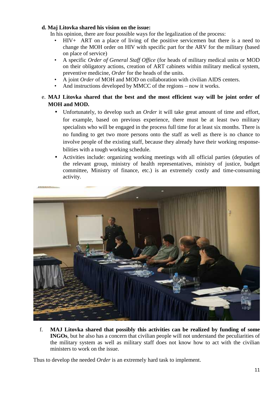## **d. Maj Litovka shared his vision on the issue:**

In his opinion, there are four possible ways for the legalization of the process:

- HIV+ ART on a place of living of the positive servicemen but there is a need to change the MOH order on HIV with specific part for the ARV for the military (based on place of service)
- A specific *Order of General Staff Office* (for heads of military medical units or MOD on their obligatory actions, creation of ART cabinets within military medical system, preventive medicine, *Order* for the heads of the units.
- A joint *Order* of MOH and MOD on collaboration with civilian AIDS centers.
- And instructions developed by MMCC of the regions now it works.

# e. **MAJ Litovka shared that the best and the most efficient way will be joint order of MOH and MOD.**

- Unfortunately, to develop such an *Order* it will take great amount of time and effort, for example, based on previous experience, there must be at least two military specialists who will be engaged in the process full time for at least six months. There is no funding to get two more persons onto the staff as well as there is no chance to involve people of the existing staff, because they already have their working response bilities with a tough working schedule.
- Activities include: organizing working meetings with all official parties (deputies of the relevant group, ministry of health representatives, ministry of justice, budget committee, Ministry of finance, etc.) is an extremely costly and time-consuming activity.



f. **MAJ Litovka shared that possibly this activities can be realized by funding of some INGOs**, but he also has a concern that civilian people will not understand the peculiarities of the military system as well as military staff does not know how to act with the civilian ministers to work on the issue.

Thus to develop the needed *Order* is an extremely hard task to implement.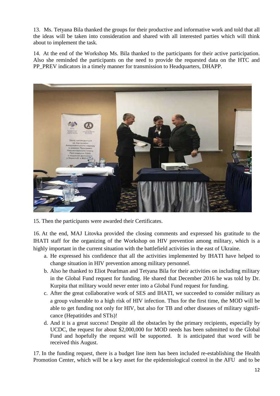13. Ms. Tetyana Bila thanked the groups for their productive and informative work and told that all the ideas will be taken into consideration and shared with all interested parties which will think about to implement the task.

14. At the end of the Workshop Ms. Bila thanked to the participants for their active participation. Also she reminded the participants on the need to provide the requested data on the HTC and PP\_PREV indicators in a timely manner for transmission to Headquarters, DHAPP.



15. Then the participants were awarded their Certificates.

16. At the end, MAJ Litovka provided the closing comments and expressed his gratitude to the IHATI staff for the organizing of the Workshop on HIV prevention among military, which is a highly important in the current situation with the battlefield activities in the east of Ukraine.

- a. He expressed his confidence that all the activities implemented by IHATI have helped to change situation in HIV prevention among military personnel.
- b. Also he thanked to Eliot Pearlman and Tetyana Bila for their activities on including military in the Global Fund request for funding. He shared that December 2016 he was told by Dr. Kurpita that military would never enter into a Global Fund request for funding.
- c. After the great collaborative work of SES and IHATI, we succeeded to consider military as a group vulnerable to a high risk of HIV infection. Thus for the first time, the MOD will be able to get funding not only for HIV, but also for TB and other diseases of military signifi cance (Hepatitides and STIs)!
- d. And it is a great success! Despite all the obstacles by the primary recipients, especially by UCDC, the request for about \$2,000,000 for MOD needs has been submitted to the Global Fund and hopefully the request will be supported. It is anticipated that word will be received this August.

17. In the funding request, there is a budget line item has been included re-establishing the Health Promotion Center, which will be a key asset for the epidemiological control in the AFU and to be